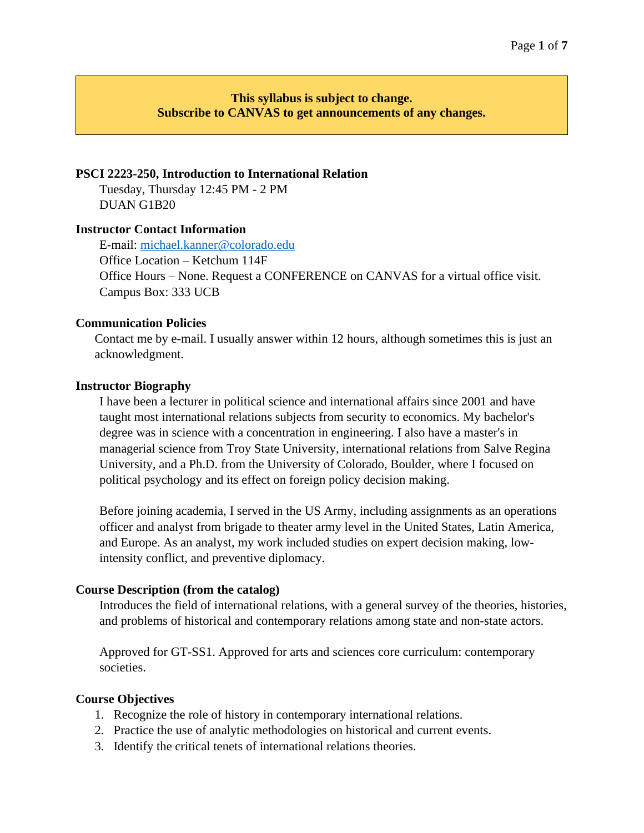# **This syllabus is subject to change. Subscribe to CANVAS to get announcements of any changes.**

### **PSCI 2223-250, Introduction to International Relation**

Tuesday, Thursday 12:45 PM - 2 PM DUAN G1B20

#### **Instructor Contact Information**

E-mail: [michael.kanner@colorado.edu](mailto:michael.kanner@colorado.edu) Office Location – Ketchum 114F Office Hours – None. Request a CONFERENCE on CANVAS for a virtual office visit. Campus Box: 333 UCB

### **Communication Policies**

Contact me by e-mail. I usually answer within 12 hours, although sometimes this is just an acknowledgment.

### **Instructor Biography**

I have been a lecturer in political science and international affairs since 2001 and have taught most international relations subjects from security to economics. My bachelor's degree was in science with a concentration in engineering. I also have a master's in managerial science from Troy State University, international relations from Salve Regina University, and a Ph.D. from the University of Colorado, Boulder, where I focused on political psychology and its effect on foreign policy decision making.

Before joining academia, I served in the US Army, including assignments as an operations officer and analyst from brigade to theater army level in the United States, Latin America, and Europe. As an analyst, my work included studies on expert decision making, lowintensity conflict, and preventive diplomacy.

# **Course Description (from the catalog)**

Introduces the field of international relations, with a general survey of the theories, histories, and problems of historical and contemporary relations among state and non-state actors.

Approved for GT-SS1. Approved for arts and sciences core curriculum: contemporary societies.

### **Course Objectives**

- 1. Recognize the role of history in contemporary international relations.
- 2. Practice the use of analytic methodologies on historical and current events.
- 3. Identify the critical tenets of international relations theories.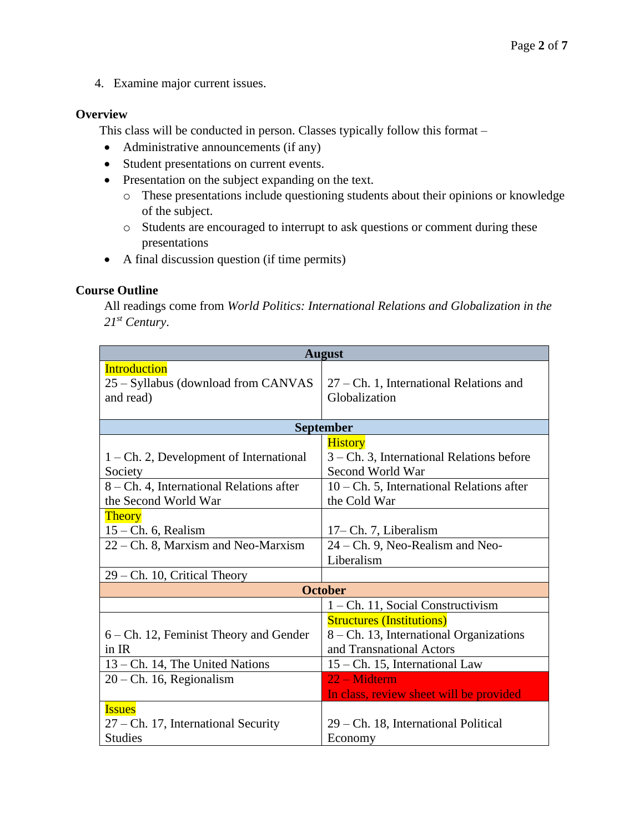4. Examine major current issues.

## **Overview**

This class will be conducted in person. Classes typically follow this format –

- Administrative announcements (if any)
- Student presentations on current events.
- Presentation on the subject expanding on the text.
	- o These presentations include questioning students about their opinions or knowledge of the subject.
	- o Students are encouraged to interrupt to ask questions or comment during these presentations
- A final discussion question (if time permits)

## **Course Outline**

All readings come from *World Politics: International Relations and Globalization in the 21st Century*.

| <b>August</b>                                                           |                                                                                                         |  |  |  |  |
|-------------------------------------------------------------------------|---------------------------------------------------------------------------------------------------------|--|--|--|--|
| <b>Introduction</b><br>25 – Syllabus (download from CANVAS<br>and read) | $27$ – Ch. 1, International Relations and<br>Globalization                                              |  |  |  |  |
| <b>September</b>                                                        |                                                                                                         |  |  |  |  |
| $1 - Ch. 2$ , Development of International<br>Society                   | <b>History</b><br>3 – Ch. 3, International Relations before<br>Second World War                         |  |  |  |  |
| 8 – Ch. 4, International Relations after<br>the Second World War        | $10$ – Ch. 5, International Relations after<br>the Cold War                                             |  |  |  |  |
| <b>Theory</b><br>$15$ – Ch. 6, Realism                                  | 17-Ch. 7, Liberalism                                                                                    |  |  |  |  |
| 22 – Ch. 8, Marxism and Neo-Marxism                                     | 24 – Ch. 9, Neo-Realism and Neo-<br>Liberalism                                                          |  |  |  |  |
| $29$ – Ch. 10, Critical Theory                                          |                                                                                                         |  |  |  |  |
|                                                                         | <b>October</b>                                                                                          |  |  |  |  |
|                                                                         | 1 – Ch. 11, Social Constructivism                                                                       |  |  |  |  |
| $6 - Ch.$ 12, Feminist Theory and Gender<br>in IR                       | <b>Structures (Institutions)</b><br>8 – Ch. 13, International Organizations<br>and Transnational Actors |  |  |  |  |
| 13 – Ch. 14, The United Nations                                         | 15 – Ch. 15, International Law                                                                          |  |  |  |  |
| $20$ – Ch. 16, Regionalism                                              | 22 – Midterm<br>In class, review sheet will be provided                                                 |  |  |  |  |
| <b>Issues</b><br>27 – Ch. 17, International Security<br><b>Studies</b>  | 29 – Ch. 18, International Political<br>Economy                                                         |  |  |  |  |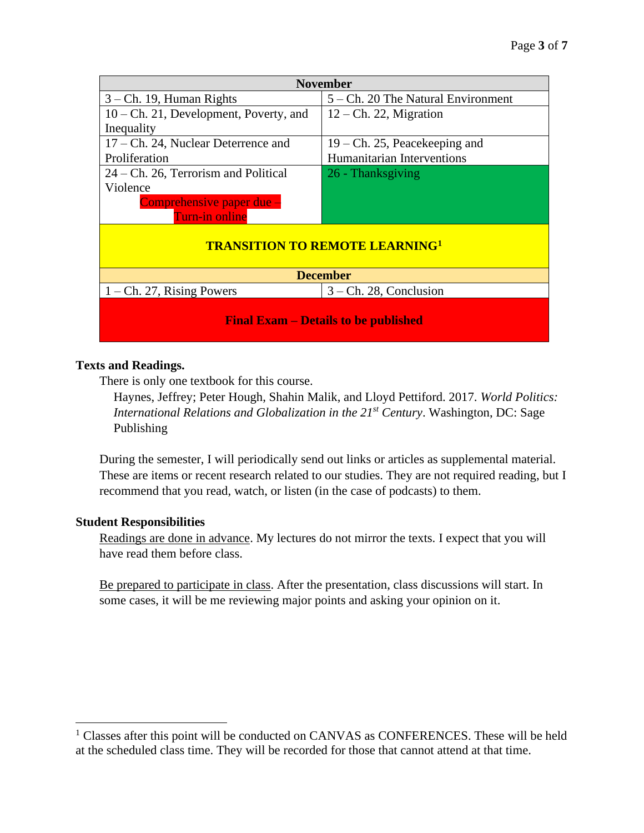| <b>November</b>                             |                                    |  |  |  |
|---------------------------------------------|------------------------------------|--|--|--|
| $3$ – Ch. 19, Human Rights                  | 5 – Ch. 20 The Natural Environment |  |  |  |
| $10$ – Ch. 21, Development, Poverty, and    | $12$ – Ch. 22, Migration           |  |  |  |
| Inequality                                  |                                    |  |  |  |
| $17$ – Ch. 24, Nuclear Deterrence and       | $19$ – Ch. 25, Peacekeeping and    |  |  |  |
| Proliferation                               | Humanitarian Interventions         |  |  |  |
| $24$ – Ch. 26, Terrorism and Political      | 26 - Thanksgiving                  |  |  |  |
| Violence                                    |                                    |  |  |  |
| Comprehensive paper due -                   |                                    |  |  |  |
| Turn-in online                              |                                    |  |  |  |
| <b>TRANSITION TO REMOTE LEARNING1</b>       |                                    |  |  |  |
| <b>December</b>                             |                                    |  |  |  |
| $1 - Ch. 27$ , Rising Powers                | $3$ – Ch. 28, Conclusion           |  |  |  |
| <b>Final Exam – Details to be published</b> |                                    |  |  |  |

# **Texts and Readings.**

There is only one textbook for this course.

Haynes, Jeffrey; Peter Hough, Shahin Malik, and Lloyd Pettiford. 2017. *World Politics: International Relations and Globalization in the 21st Century*. Washington, DC: Sage Publishing

During the semester, I will periodically send out links or articles as supplemental material. These are items or recent research related to our studies. They are not required reading, but I recommend that you read, watch, or listen (in the case of podcasts) to them.

# **Student Responsibilities**

Readings are done in advance. My lectures do not mirror the texts. I expect that you will have read them before class.

Be prepared to participate in class. After the presentation, class discussions will start. In some cases, it will be me reviewing major points and asking your opinion on it.

<sup>&</sup>lt;sup>1</sup> Classes after this point will be conducted on CANVAS as CONFERENCES. These will be held at the scheduled class time. They will be recorded for those that cannot attend at that time.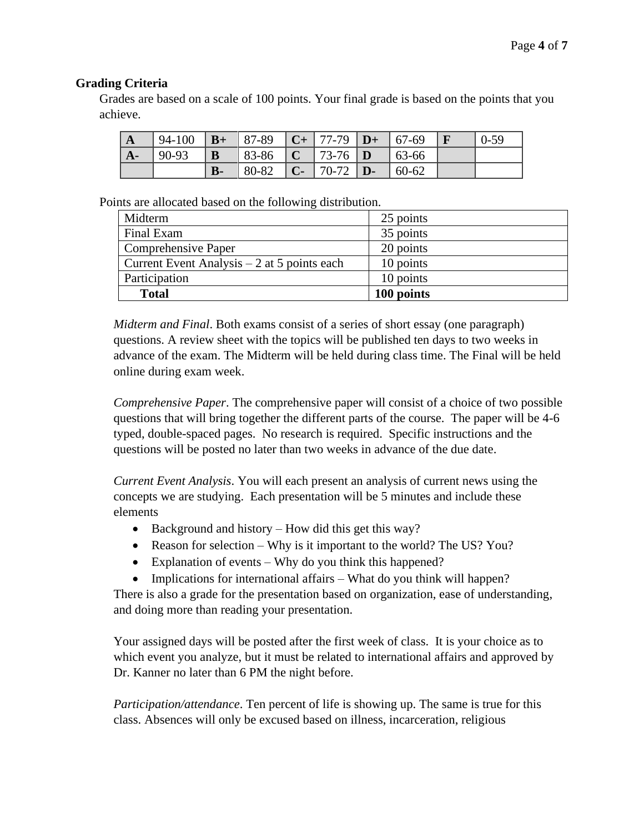# **Grading Criteria**

Grades are based on a scale of 100 points. Your final grade is based on the points that you achieve.

| $\mathbf{A}$ | 94-100 |      | $\vert$ <b>B</b> + $\vert$ 87-89 $\vert$ <b>C</b> + $\vert$ 77-79 $\vert$ <b>D</b> + $\vert$ 67-69 |                                   |       | $0 - 59$ |
|--------------|--------|------|----------------------------------------------------------------------------------------------------|-----------------------------------|-------|----------|
| $A -$        | 90-93  | B    | $  83-86   C   73-76   D$                                                                          |                                   | 63-66 |          |
|              |        | $B-$ | $80-82$                                                                                            | $\mathbf{C}$ - 70-72   <b>D</b> - | 60-62 |          |

Points are allocated based on the following distribution.

| Midterm                                      | 25 points  |
|----------------------------------------------|------------|
| Final Exam                                   | 35 points  |
| <b>Comprehensive Paper</b>                   | 20 points  |
| Current Event Analysis $-2$ at 5 points each | 10 points  |
| Participation                                | 10 points  |
| <b>Total</b>                                 | 100 points |

*Midterm and Final*. Both exams consist of a series of short essay (one paragraph) questions. A review sheet with the topics will be published ten days to two weeks in advance of the exam. The Midterm will be held during class time. The Final will be held online during exam week.

*Comprehensive Paper*. The comprehensive paper will consist of a choice of two possible questions that will bring together the different parts of the course. The paper will be 4-6 typed, double-spaced pages. No research is required. Specific instructions and the questions will be posted no later than two weeks in advance of the due date.

*Current Event Analysis*. You will each present an analysis of current news using the concepts we are studying. Each presentation will be 5 minutes and include these elements

- Background and history How did this get this way?
- Reason for selection Why is it important to the world? The US? You?
- Explanation of events Why do you think this happened?
- Implications for international affairs What do you think will happen?

There is also a grade for the presentation based on organization, ease of understanding, and doing more than reading your presentation.

Your assigned days will be posted after the first week of class. It is your choice as to which event you analyze, but it must be related to international affairs and approved by Dr. Kanner no later than 6 PM the night before.

*Participation/attendance*. Ten percent of life is showing up. The same is true for this class. Absences will only be excused based on illness, incarceration, religious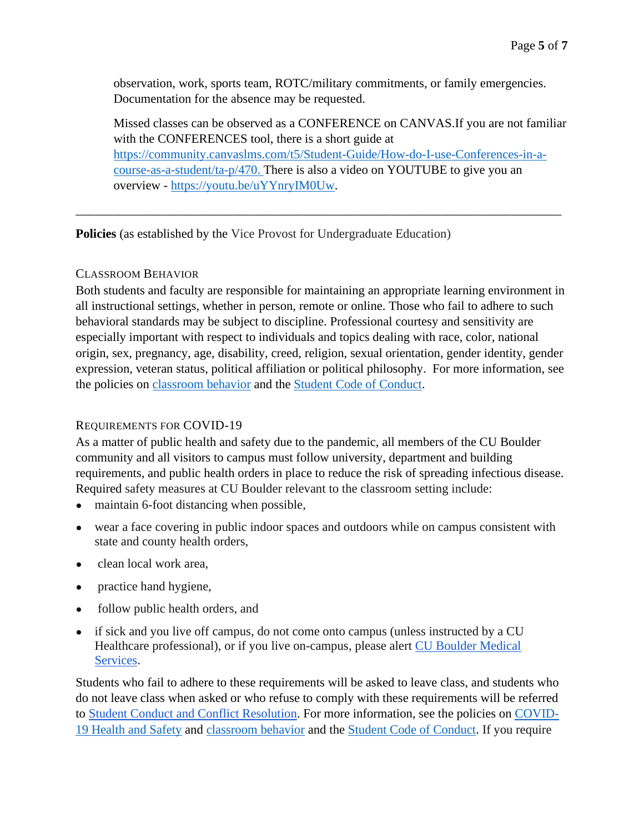observation, work, sports team, ROTC/military commitments, or family emergencies. Documentation for the absence may be requested.

Missed classes can be observed as a CONFERENCE on CANVAS.If you are not familiar with the CONFERENCES tool, there is a short guide at [https://community.canvaslms.com/t5/Student-Guide/How-do-I-use-Conferences-in-a](https://community.canvaslms.com/t5/Student-Guide/How-do-I-use-Conferences-in-a-course-as-a-student/ta-p/470)[course-as-a-student/ta-p/470.](https://community.canvaslms.com/t5/Student-Guide/How-do-I-use-Conferences-in-a-course-as-a-student/ta-p/470) There is also a video on YOUTUBE to give you an overview - [https://youtu.be/uYYnryIM0Uw.](https://youtu.be/uYYnryIM0Uw)

**Policies** (as established by the Vice Provost for Undergraduate Education)

## CLASSROOM BEHAVIOR

Both students and faculty are responsible for maintaining an appropriate learning environment in all instructional settings, whether in person, remote or online. Those who fail to adhere to such behavioral standards may be subject to discipline. Professional courtesy and sensitivity are especially important with respect to individuals and topics dealing with race, color, national origin, sex, pregnancy, age, disability, creed, religion, sexual orientation, gender identity, gender expression, veteran status, political affiliation or political philosophy. For more information, see the policies on [classroom behavior](http://www.colorado.edu/policies/student-classroom-and-course-related-behavior) and the [Student Code of Conduct.](https://www.colorado.edu/sccr/sites/default/files/attached-files/2019-2020_student_code_of_conduct_0.pdf)

\_\_\_\_\_\_\_\_\_\_\_\_\_\_\_\_\_\_\_\_\_\_\_\_\_\_\_\_\_\_\_\_\_\_\_\_\_\_\_\_\_\_\_\_\_\_\_\_\_\_\_\_\_\_\_\_\_\_\_\_\_\_\_\_\_\_\_\_\_\_\_\_\_\_\_\_\_

# REQUIREMENTS FOR COVID-19

As a matter of public health and safety due to the pandemic, all members of the CU Boulder community and all visitors to campus must follow university, department and building requirements, and public health orders in place to reduce the risk of spreading infectious disease. Required safety measures at CU Boulder relevant to the classroom setting include:

- maintain 6-foot distancing when possible,
- wear a face covering in public indoor spaces and outdoors while on campus consistent with state and county health orders,
- clean local work area.
- practice hand hygiene,
- follow public health orders, and
- if sick and you live off campus, do not come onto campus (unless instructed by a CU Healthcare professional), or if you live on-campus, please alert CU Boulder Medical [Services.](https://www.colorado.edu/healthcenter/coronavirus-updates/symptoms-and-what-do-if-you-feel-sick)

Students who fail to adhere to these requirements will be asked to leave class, and students who do not leave class when asked or who refuse to comply with these requirements will be referred to [Student Conduct and Conflict Resolution.](https://www.colorado.edu/sccr/) For more information, see the policies on [COVID-](https://www.colorado.edu/policies/covid-19-health-and-safety-policy)[19 Health and Safety](https://www.colorado.edu/policies/covid-19-health-and-safety-policy) and [classroom behavior](http://www.colorado.edu/policies/student-classroom-and-course-related-behavior) and the [Student Code of Conduct.](http://www.colorado.edu/osccr/) If you require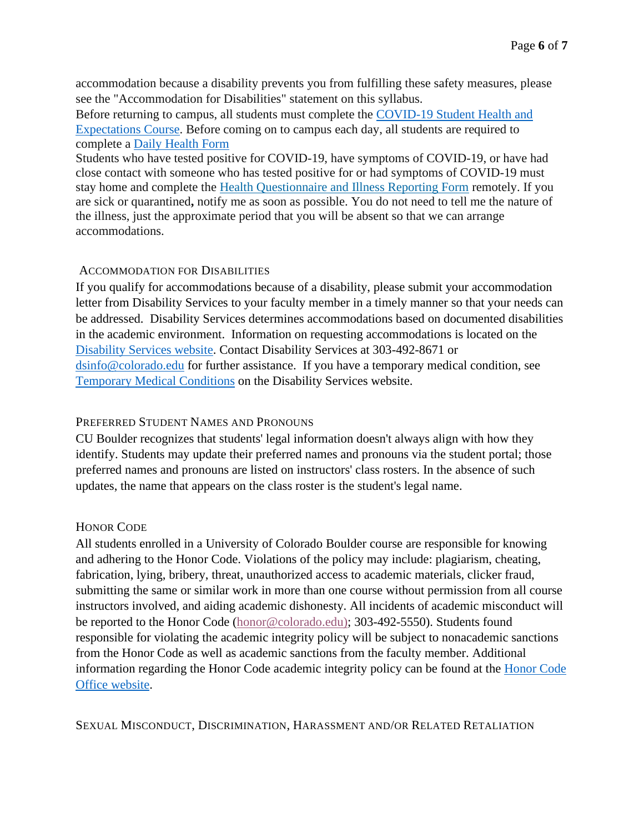accommodation because a disability prevents you from fulfilling these safety measures, please see the "Accommodation for Disabilities" statement on this syllabus.

Before returning to campus, all students must complete the [COVID-19 Student Health and](https://www.colorado.edu/protect-our-herd/how#anchor1)  [Expectations Course.](https://www.colorado.edu/protect-our-herd/how#anchor1) Before coming on to campus each day, all students are required to complete a [Daily Health Form](https://www.colorado.edu/protect-our-herd/daily-health-form)

Students who have tested positive for COVID-19, have symptoms of COVID-19, or have had close contact with someone who has tested positive for or had symptoms of COVID-19 must stay home and complete the [Health Questionnaire and Illness Reporting Form](https://www.colorado.edu/protect-our-herd/daily-health-form) remotely. If you are sick or quarantined**,** notify me as soon as possible. You do not need to tell me the nature of the illness, just the approximate period that you will be absent so that we can arrange accommodations.

#### ACCOMMODATION FOR DISABILITIES

If you qualify for accommodations because of a disability, please submit your accommodation letter from Disability Services to your faculty member in a timely manner so that your needs can be addressed. Disability Services determines accommodations based on documented disabilities in the academic environment. Information on requesting accommodations is located on the [Disability Services website.](https://www.colorado.edu/disabilityservices/) Contact Disability Services at 303-492-8671 or [dsinfo@colorado.edu](mailto:dsinfo@colorado.edu) for further assistance. If you have a temporary medical condition, see [Temporary Medical Conditions](http://www.colorado.edu/disabilityservices/students/temporary-medical-conditions) on the Disability Services website.

#### PREFERRED STUDENT NAMES AND PRONOUNS

CU Boulder recognizes that students' legal information doesn't always align with how they identify. Students may update their preferred names and pronouns via the student portal; those preferred names and pronouns are listed on instructors' class rosters. In the absence of such updates, the name that appears on the class roster is the student's legal name.

### HONOR CODE

All students enrolled in a University of Colorado Boulder course are responsible for knowing and adhering to the Honor Code. Violations of the policy may include: plagiarism, cheating, fabrication, lying, bribery, threat, unauthorized access to academic materials, clicker fraud, submitting the same or similar work in more than one course without permission from all course instructors involved, and aiding academic dishonesty. All incidents of academic misconduct will be reported to the Honor Code [\(honor@colorado.edu\)](mailto:honor@colorado.edu); 303-492-5550). Students found responsible for violating the academic integrity policy will be subject to nonacademic sanctions from the Honor Code as well as academic sanctions from the faculty member. Additional information regarding the Honor Code academic integrity policy can be found at the [Honor Code](https://www.colorado.edu/osccr/honor-code)  [Office website.](https://www.colorado.edu/osccr/honor-code)

SEXUAL MISCONDUCT, DISCRIMINATION, HARASSMENT AND/OR RELATED RETALIATION